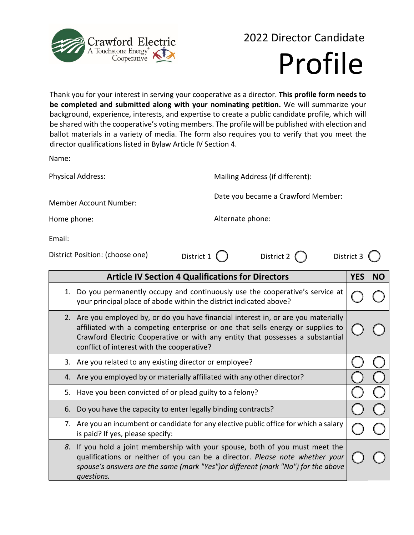

## 2022 Director Candidate Profile

Thank you for your interest in serving your cooperative as a director. **This profile form needs to be completed and submitted along with your nominating petition.** We will summarize your background, experience, interests, and expertise to create a public candidate profile, which will be shared with the cooperative's voting members. The profile will be published with election and ballot materials in a variety of media. The form also requires you to verify that you meet the director qualifications listed in Bylaw Article IV Section 4.

Name:

| <b>Physical Address:</b>                                                                                                                          |                                                          | Mailing Address (if different):    |  |            |           |  |
|---------------------------------------------------------------------------------------------------------------------------------------------------|----------------------------------------------------------|------------------------------------|--|------------|-----------|--|
| <b>Member Account Number:</b>                                                                                                                     |                                                          | Date you became a Crawford Member: |  |            |           |  |
| Home phone:                                                                                                                                       |                                                          | Alternate phone:                   |  |            |           |  |
| Email:                                                                                                                                            |                                                          |                                    |  |            |           |  |
| District Position: (choose one)                                                                                                                   | District $1$ $($ $)$                                     | District 2 $\bigcap$               |  | District 3 |           |  |
|                                                                                                                                                   | <b>Article IV Section 4 Qualifications for Directors</b> |                                    |  | <b>YES</b> | <b>NO</b> |  |
| Do you permanently occupy and continuously use the cooperative's service at<br>your principal place of abode within the district indicated above? |                                                          |                                    |  |            |           |  |
| Are veu employed by ar do veu baye financial interest in ar are veu materially<br>ົ                                                               |                                                          |                                    |  |            |           |  |

| 2. Are you employed by, or do you have financial interest in, or are you materially<br>affiliated with a competing enterprise or one that sells energy or supplies to $\sqrt{ }$<br>Crawford Electric Cooperative or with any entity that possesses a substantial<br>conflict of interest with the cooperative? |  |
|-----------------------------------------------------------------------------------------------------------------------------------------------------------------------------------------------------------------------------------------------------------------------------------------------------------------|--|
| 3. Are you related to any existing director or employee?                                                                                                                                                                                                                                                        |  |

- 4. Are you employed by or materially affiliated with any other director?
- 5. Have you been convicted of or plead guilty to a felony?
- 6. Do you have the capacity to enter legally binding contracts?
- 7. Are you an incumbent or candidate for any elective public office for which a salary is paid? If yes, please specify:
- *8.* If you hold a joint membership with your spouse, both of you must meet the qualifications or neither of you can be a director. *Please note whether your spouse's answers are the same (mark "Yes")or different (mark "No") for the above questions.*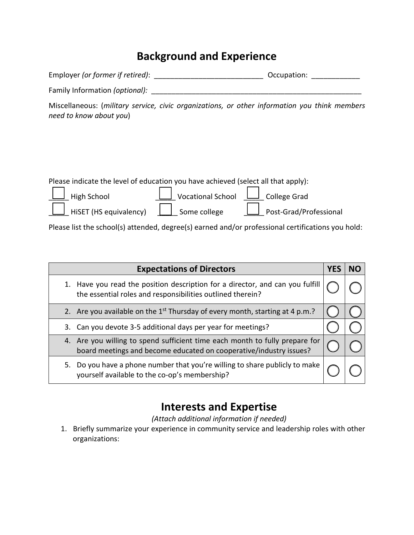## **Background and Experience**

| Employer (or former if retired): | Occupation: |  |
|----------------------------------|-------------|--|
|----------------------------------|-------------|--|

Family Information *(optional):* \_\_\_\_\_\_\_\_\_\_\_\_\_\_\_\_\_\_\_\_\_\_\_\_\_\_\_\_\_\_\_\_\_\_\_\_\_\_\_\_\_\_\_\_\_\_\_\_\_\_\_\_

Miscellaneous: (*military service, civic organizations, or other information you think members need to know about you*)

| Please indicate the level of education you have achieved (select all that apply): |                                              |                        |
|-----------------------------------------------------------------------------------|----------------------------------------------|------------------------|
| $\Box$ High School                                                                | $\Box$ Vocational School $\Box$ College Grad |                        |
| $\Box$ HiSET (HS equivalency)                                                     | $\Box$ Some college                          | Post-Grad/Professional |

Please list the school(s) attended, degree(s) earned and/or professional certifications you hold:

| <b>Expectations of Directors</b>                                                                                                                  |  |  |
|---------------------------------------------------------------------------------------------------------------------------------------------------|--|--|
| 1. Have you read the position description for a director, and can you fulfill<br>the essential roles and responsibilities outlined therein?       |  |  |
| 2. Are you available on the 1 <sup>st</sup> Thursday of every month, starting at 4 p.m.?                                                          |  |  |
| 3. Can you devote 3-5 additional days per year for meetings?                                                                                      |  |  |
| 4. Are you willing to spend sufficient time each month to fully prepare for<br>board meetings and become educated on cooperative/industry issues? |  |  |
| 5. Do you have a phone number that you're willing to share publicly to make<br>yourself available to the co-op's membership?                      |  |  |

## **Interests and Expertise**

*(Attach additional information if needed)*

1. Briefly summarize your experience in community service and leadership roles with other organizations: